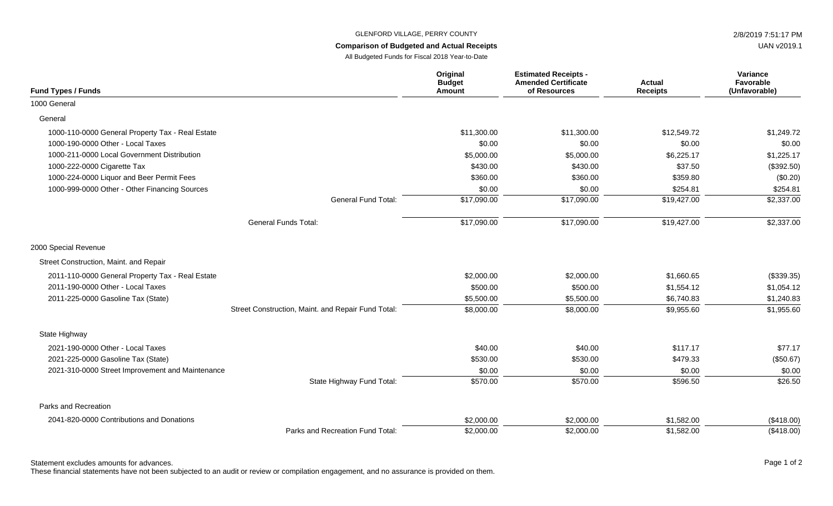## GLENFORD VILLAGE, PERRY COUNTY 2/8/2019 7:51:17 PM

## **Comparison of Budgeted and Actual Receipts**

All Budgeted Funds for Fiscal 2018 Year-to-Date

|                            | Original<br><b>Budget</b><br>Amount | <b>Estimated Receipts -</b><br><b>Amended Certificate</b><br>of Resources | <b>Actual</b><br><b>Receipts</b> | Variance<br><b>Favorable</b><br>(Unfavorable) |
|----------------------------|-------------------------------------|---------------------------------------------------------------------------|----------------------------------|-----------------------------------------------|
|                            |                                     |                                                                           |                                  |                                               |
|                            | \$11,300.00                         | \$11,300.00                                                               | \$12,549.72                      | \$1,249.72                                    |
|                            | \$0.00                              | \$0.00                                                                    | \$0.00                           | \$0.00                                        |
|                            | \$5,000.00                          | \$5,000.00                                                                | \$6,225.17                       | \$1,225.17                                    |
|                            | \$430.00                            | \$430.00                                                                  | \$37.50                          | (\$392.50)                                    |
|                            | \$360.00                            | \$360.00                                                                  | \$359.80                         | (\$0.20)                                      |
|                            | \$0.00                              | \$0.00                                                                    | \$254.81                         | \$254.81                                      |
| <b>General Fund Total:</b> | \$17,090.00                         | \$17,090.00                                                               | \$19,427.00                      | \$2,337.00                                    |

General Funds Total: **\$17,090.00** \$17,090.00 \$17,090.00 \$19,427.00 \$19,427.00 \$2,337.00

2000 Special Revenue

**Fund Types / Funds**

1000-110-0000 General Property Tax - Real Estate

1000-211-0000 Local Government Distribution

1000-224-0000 Liquor and Beer Permit Fees 1000-999-0000 Other - Other Financing Sources

1000-190-0000 Other - Local Taxes \$0.00 \$0.00 \$0.00 \$0.00

1000-222-0000 Cigarette Tax

1000 General General

| 2000 Special Revenue                             |                                                    |            |            |            |            |
|--------------------------------------------------|----------------------------------------------------|------------|------------|------------|------------|
| Street Construction, Maint. and Repair           |                                                    |            |            |            |            |
| 2011-110-0000 General Property Tax - Real Estate | \$2,000.00                                         | \$2,000.00 | \$1,660.65 | (\$339.35) |            |
| 2011-190-0000 Other - Local Taxes                |                                                    | \$500.00   | \$500.00   | \$1,554.12 | \$1,054.12 |
| 2011-225-0000 Gasoline Tax (State)               |                                                    | \$5,500.00 | \$5,500.00 | \$6,740.83 | \$1,240.83 |
|                                                  | Street Construction, Maint. and Repair Fund Total: | \$8,000.00 | \$8,000.00 | \$9,955.60 | \$1,955.60 |
| State Highway                                    |                                                    |            |            |            |            |
| 2021-190-0000 Other - Local Taxes                |                                                    | \$40.00    | \$40.00    | \$117.17   | \$77.17    |
| 2021-225-0000 Gasoline Tax (State)               |                                                    | \$530.00   | \$530.00   | \$479.33   | (\$50.67)  |
| 2021-310-0000 Street Improvement and Maintenance | \$0.00                                             | \$0.00     | \$0.00     | \$0.00     |            |
|                                                  | State Highway Fund Total:                          | \$570.00   | \$570.00   | \$596.50   | \$26.50    |
| Parks and Recreation                             |                                                    |            |            |            |            |
| 2041-820-0000 Contributions and Donations        |                                                    | \$2,000.00 | \$2,000.00 | \$1,582.00 | (\$418.00) |
|                                                  | Parks and Recreation Fund Total:                   | \$2,000.00 | \$2,000.00 | \$1,582.00 | (\$418.00) |

Statement excludes amounts for advances. The statement excludes amounts for advances. The page 1 of 2

These financial statements have not been subjected to an audit or review or compilation engagement, and no assurance is provided on them.